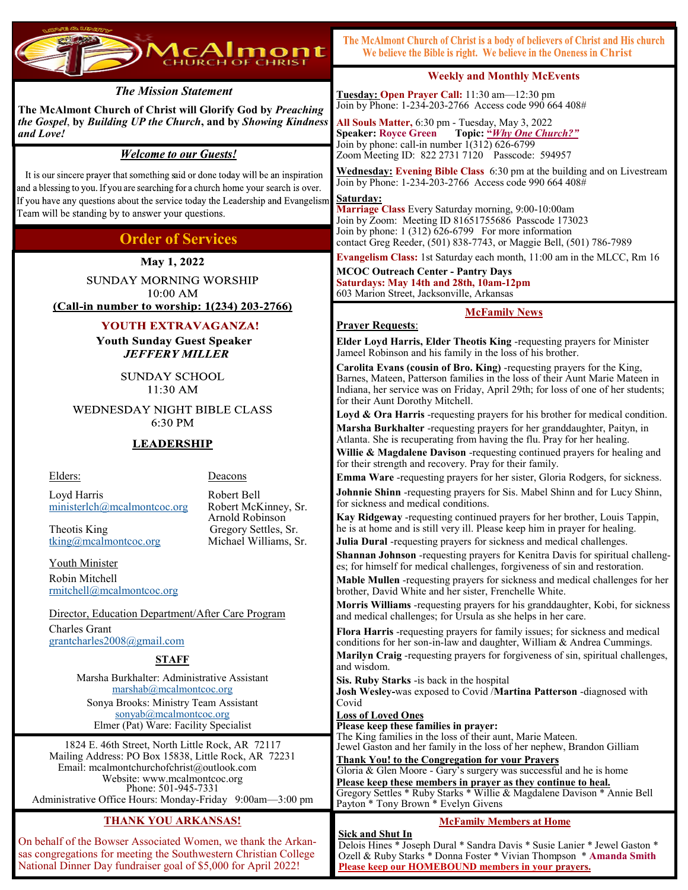

# The McAlmont Church of Christ is a body of believers of Christ and His church We believe the Bible is right. We believe in the Oneness in Christ

# *The Mission Statement*

**The McAlmont Church of Christ will Glorify God by** *Preaching the Gospel*, **by** *Building UP the Church***, and by** *Showing Kindness and Love!*

# **Welcome to our Guests!**

It is our sincere prayer that something said or done today will be an inspiration and a blessing to you. If you are searching for a church home your search is over. If you have any questions about the service today the Leadership and Evangelism Team will be standing by to answer your questions.

# **Order of Services**

May 1, 2022

**SUNDAY MORNING WORSHIP**  $10:00$  AM (Call-in number to worship: 1(234) 203-2766)

# YOUTH EXTRAVAGANZA!

**Youth Sunday Guest Speaker JEFFERY MILLER** 

> **SUNDAY SCHOOL** 11:30 AM

**WEDNESDAY NIGHT BIBLE CLASS** 6:30 PM

# **LEADERSHIP**

#### Elders: Deacons

Arnold Robinson

 Loyd Harris Robert Bell [ministerlch@mcalmontcoc.org](mailto:ministerlch@mcalmontcoc.org) Robert McKinney, Sr.

Theotis King Gregory Settles, Sr. [tking@mcalmontcoc.org](mailto:tking@mcalmontcoc.org) Michael Williams, Sr.

 Youth Minister Robin Mitchell [rmitchell@mcalmontcoc.org](mailto:RMitchell@McAlmontCoC.org)

 Director, Education Department/After Care Program Charles Grant [grantcharles2008@gmail.com](mailto:grantcharles2008@gmail.com)

## **STAFF**

Marsha Burkhalter: Administrative Assistant [marshab@mcalmontcoc.org](mailto:marshab@mcalmontcoc.org) Sonya Brooks: Ministry Team Assistant [sonyab@mcalmontcoc.org](mailto:sonyab@mclmontcoc.org) Elmer (Pat) Ware: Facility Specialist

1824 E. 46th Street, North Little Rock, AR 72117 Mailing Address: PO Box 15838, Little Rock, AR 72231 Email: mcalmontchurchofchrist@outlook.com Website: www.mcalmontcoc.org Phone: 501-945-7331 Administrative Office Hours: Monday-Friday 9:00am—3:00 pm

# **THANK YOU ARKANSAS!**

On behalf of the Bowser Associated Women, we thank the Arkansas congregations for meeting the Southwestern Christian College National Dinner Day fundraiser goal of \$5,000 for April 2022!

**Weekly and Monthly McEvents** 

**Tuesday: Open Prayer Call:** 11:30 am—12:30 pm Join by Phone: 1-234-203-2766 Access code 990 664 408#

**All Souls Matter,** 6:30 pm - Tuesday, May 3, 2022 **Speaker: Royce Green Topic: "***Why One Church?"* Join by phone: call-in number  $1(312) 626-6799$ Zoom Meeting ID: 822 2731 7120 Passcode: 594957

**Wednesday: Evening Bible Class** 6:30 pm at the building and on Livestream Join by Phone: 1-234-203-2766 Access code 990 664 408#

#### **Saturday:**

**Marriage Class** Every Saturday morning, 9:00-10:00am Join by Zoom: Meeting ID 81651755686 Passcode 173023 Join by phone: 1 (312) 626-6799 For more information contact Greg Reeder, (501) 838-7743, or Maggie Bell, (501) 786-7989

**Evangelism Class:** 1st Saturday each month, 11:00 am in the MLCC, Rm 16

**MCOC Outreach Center - Pantry Days Saturdays: May 14th and 28th, 10am-12pm** 

603 Marion Street, Jacksonville, Arkansas

# **McFamily News**

# **Prayer Requests**:

**Elder Loyd Harris, Elder Theotis King** -requesting prayers for Minister Jameel Robinson and his family in the loss of his brother.

**Carolita Evans (cousin of Bro. King)** -requesting prayers for the King, Barnes, Mateen, Patterson families in the loss of their Aunt Marie Mateen in Indiana, her service was on Friday, April 29th; for loss of one of her students; for their Aunt Dorothy Mitchell.

**Loyd & Ora Harris** -requesting prayers for his brother for medical condition. **Marsha Burkhalter** -requesting prayers for her granddaughter, Paityn, in Atlanta. She is recuperating from having the flu. Pray for her healing.

**Willie & Magdalene Davison** -requesting continued prayers for healing and for their strength and recovery. Pray for their family.

**Emma Ware** -requesting prayers for her sister, Gloria Rodgers, for sickness. **Johnnie Shinn** -requesting prayers for Sis. Mabel Shinn and for Lucy Shinn, for sickness and medical conditions.

**Kay Ridgeway** -requesting continued prayers for her brother, Louis Tappin, he is at home and is still very ill. Please keep him in prayer for healing.

**Julia Dural** -requesting prayers for sickness and medical challenges.

**Shannan Johnson** -requesting prayers for Kenitra Davis for spiritual challenges; for himself for medical challenges, forgiveness of sin and restoration.

**Mable Mullen** -requesting prayers for sickness and medical challenges for her brother, David White and her sister, Frenchelle White.

**Morris Williams** -requesting prayers for his granddaughter, Kobi, for sickness and medical challenges; for Ursula as she helps in her care.

**Flora Harris** -requesting prayers for family issues; for sickness and medical conditions for her son-in-law and daughter, William & Andrea Cummings.

**Marilyn Craig** -requesting prayers for forgiveness of sin, spiritual challenges, and wisdom.

**Sis. Ruby Starks** -is back in the hospital

**Josh Wesley-**was exposed to Covid /**Martina Patterson** -diagnosed with Covid

## **Loss of Loved Ones**

**Please keep these families in prayer:**  The King families in the loss of their aunt, Marie Mateen. Jewel Gaston and her family in the loss of her nephew, Brandon Gilliam

**Thank You! to the Congregation for your Prayers** Gloria & Glen Moore - Gary's surgery was successful and he is home

**Please keep these members in prayer as they continue to heal.** Gregory Settles \* Ruby Starks \* Willie & Magdalene Davison \* Annie Bell Payton \* Tony Brown \* Evelyn Givens

# **McFamily Members at Home**

**Sick and Shut In** Delois Hines \* Joseph Dural \* Sandra Davis \* Susie Lanier \* Jewel Gaston \* Ozell & Ruby Starks \* Donna Foster \* Vivian Thompson \* **Amanda Smith Please keep our HOMEBOUND members in your prayers.**